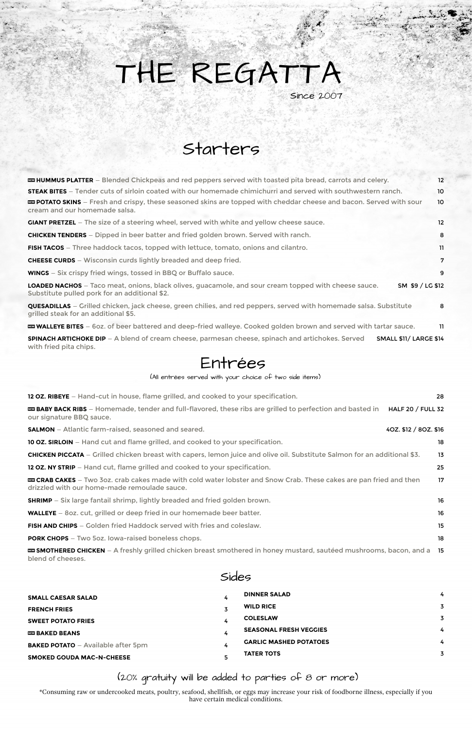| <b>EXECUAL EXECUAL SERVIPTION SPLATTER</b> – Blended Chickpeas and red peppers served with toasted pita bread, carrots and celery.                                        | 12              |
|---------------------------------------------------------------------------------------------------------------------------------------------------------------------------|-----------------|
| <b>STEAK BITES</b> – Tender cuts of sirloin coated with our homemade chimichurri and served with southwestern ranch.                                                      | 10 <sup>°</sup> |
| <b>EXECUTED SKINS</b> – Fresh and crispy, these seasoned skins are topped with cheddar cheese and bacon. Served with sour<br>cream and our homemade salsa.                | 10              |
| <b>GIANT PRETZEL</b> – The size of a steering wheel, served with white and yellow cheese sauce.                                                                           | 12              |
| <b>CHICKEN TENDERS</b> – Dipped in beer batter and fried golden brown. Served with ranch.                                                                                 | 8               |
| <b>FISH TACOS</b> – Three haddock tacos, topped with lettuce, tomato, onions and cilantro.                                                                                | 11              |
| <b>CHEESE CURDS</b> – Wisconsin curds lightly breaded and deep fried.                                                                                                     | 7               |
| <b>WINGS</b> – Six crispy fried wings, tossed in BBQ or Buffalo sauce.                                                                                                    | 9               |
| LOADED NACHOS - Taco meat, onions, black olives, guacamole, and sour cream topped with cheese sauce.<br>SM \$9 / LG \$12<br>Substitute pulled pork for an additional \$2. |                 |
| <b>QUESADILLAS</b> – Grilled chicken, jack cheese, green chilies, and red peppers, served with homemade salsa. Substitute<br>grilled steak for an additional \$5.         | 8               |
| <b>EX WALLEYE BITES</b> – 60z. of beer battered and deep-fried walleye. Cooked golden brown and served with tartar sauce.                                                 | -11             |
| <b>SPINACH ARTICHOKE DIP</b> – A blend of cream cheese, parmesan cheese, spinach and artichokes. Served<br><b>SMALL \$11/ LARGE \$14</b><br>with fried pita chips.        |                 |
|                                                                                                                                                                           |                 |

**EX SMOTHERED CHICKEN** – A freshly grilled chicken breast smothered in honey mustard, sautéed mushrooms, bacon, and a 15 blend of cheeses.

# THE REGATTA Since 2007

| <b>12 OZ. RIBEYE</b> – Hand-cut in house, flame grilled, and cooked to your specification.                                                                              | 28                       |
|-------------------------------------------------------------------------------------------------------------------------------------------------------------------------|--------------------------|
| <b>EXECUTES</b> BABY BACK RIBS – Homemade, tender and full-flavored, these ribs are grilled to perfection and basted in<br>our signature BBQ sauce.                     | <b>HALF 20 / FULL 32</b> |
| <b>SALMON</b> – Atlantic farm-raised, seasoned and seared.                                                                                                              | 40Z. \$12 / 80Z. \$16    |
| <b>10 OZ. SIRLOIN</b> – Hand cut and flame grilled, and cooked to your specification.                                                                                   | 18                       |
| <b>CHICKEN PICCATA</b> – Grilled chicken breast with capers, lemon juice and olive oil. Substitute Salmon for an additional \$3.                                        | 13                       |
| <b>12 OZ. NY STRIP</b> – Hand cut, flame grilled and cooked to your specification.                                                                                      | 25                       |
| <b>EXAGO CAKES</b> – Two 3oz. crab cakes made with cold water lobster and Snow Crab. These cakes are pan fried and then<br>drizzled with our home-made remoulade sauce. | 17                       |
| <b>SHRIMP</b> – Six large fantail shrimp, lightly breaded and fried golden brown.                                                                                       | 16                       |
| <b>WALLEYE</b> – 80z. cut, grilled or deep fried in our homemade beer batter.                                                                                           | 16                       |
| <b>FISH AND CHIPS</b> – Golden fried Haddock served with fries and coleslaw.                                                                                            | 15                       |

**PORK CHOPS** – Two 5oz. Iowa-raised boneless chops. 18

Sides

| <b>SMALL CAESAR SALAD</b>                 |   | <b>DINNER SALAD</b>           | 4 |
|-------------------------------------------|---|-------------------------------|---|
| <b>FRENCH FRIES</b>                       |   | <b>WILD RICE</b>              |   |
| <b>SWEET POTATO FRIES</b>                 | 4 | <b>COLESLAW</b>               |   |
| <b>EED BAKED BEANS</b>                    |   | <b>SEASONAL FRESH VEGGIES</b> | 4 |
| <b>BAKED POTATO</b> - Available after 5pm |   | <b>GARLIC MASHED POTATOES</b> | 4 |
| <b>SMOKED GOUDA MAC-N-CHEESE</b>          |   | <b>TATER TOTS</b>             |   |

\*Consuming raw or undercooked meats, poultry, seafood, shellfish, or eggs may increase your risk of foodborne illness, especially if you have certain medical conditions.

# Starters

## Entrées

| (All entrées served with your choice of two side items) |  |  |  |  |
|---------------------------------------------------------|--|--|--|--|
|                                                         |  |  |  |  |

#### (20% gratuity will be added to parties of 8 or more)